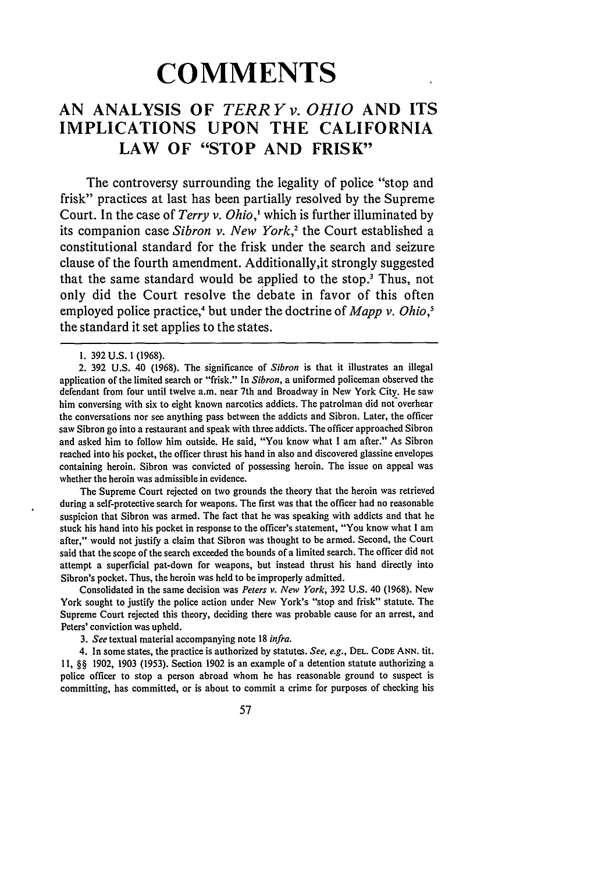# **COMMENTS**

## **AN ANALYSIS OF** *TERRYv. OHIO* **AND ITS IMPLICATIONS UPON THE CALIFORNIA LAW OF "STOP AND FRISK"**

The controversy surrounding the legality of police "stop and frisk" practices at last has been partially resolved by the Supreme Court. In the case of *Terry v. Ohio,'* which is further illuminated by its companion case *Sibron v. New York,2* the Court established a constitutional standard for the frisk under the search and seizure clause of the fourth amendment. Additionally,it strongly suggested that the same standard would be applied to the stop.' Thus, not only did the Court resolve the debate in favor of this often employed police practice,<sup>4</sup> but under the doctrine of *Mapp v. Ohio*,<sup>5</sup> the standard it set applies to the states.

The Supreme Court rejected on two grounds the theory that the heroin was retrieved during a self-protective search for weapons. The first was that the officer had no reasonable suspicion that Sibron was armed. The fact that he was speaking with addicts and that he stuck his hand into his pocket in response to the officer's statement, "You know what **I** am after," would not justify a claim that Sibron was thought to be armed. Second, the Court said that the scope of the search exceeded the bounds of a limited search. The officer did not attempt a superficial pat-down for weapons, but instead thrust his hand directly into Sibron's pocket. Thus, the heroin was held to be improperly admitted.

Consolidated in the same decision was *Peters v. New York,* **392** U.S. 40 (1968). New York sought to justify the police action under New York's "stop and frisk" statute. The Supreme Court rejected this theory, deciding there was probable cause for an arrest, and Peters' conviction was upheld.

*3. See* textual material accompanying note **18** *infra.*

4. In some states, the practice is authorized **by** statutes. *See, e.g.,* **DEL. CODE ANN. tit. 11,** §§ **1902, 1903** (1953). Section 1902 is an example of a detention statute authorizing a police officer to stop a person abroad whom he has reasonable ground to suspect is committing, has committed, or is about to commit a crime for purposes of checking his

**<sup>1.</sup>** 392 U.S. 1 (1968).

<sup>2.</sup> **392** U.S. 40 (1968). The significance of *Sibron* is that it illustrates an illegal application of the limited search or "frisk." In *Sibron,* a uniformed policeman observed the defendant from four until twelve a.m. near 7th and Broadway in New York City. He saw him conversing with six to eight known narcotics addicts. The patrolman did not overhear the conversations nor see anything pass between the addicts and Sibron. Later, the officer saw Sibron go into a restaurant and speak with three addicts. The officer approached Sibron and asked him to follow him outside. He said, "You know what **I** am after." As Sibron reached into his pocket, the officer thrust his hand in also and discovered glassine envelopes containing heroin. Sibron was convicted of possessing heroin. The issue on appeal was whether the heroin was admissible in evidence.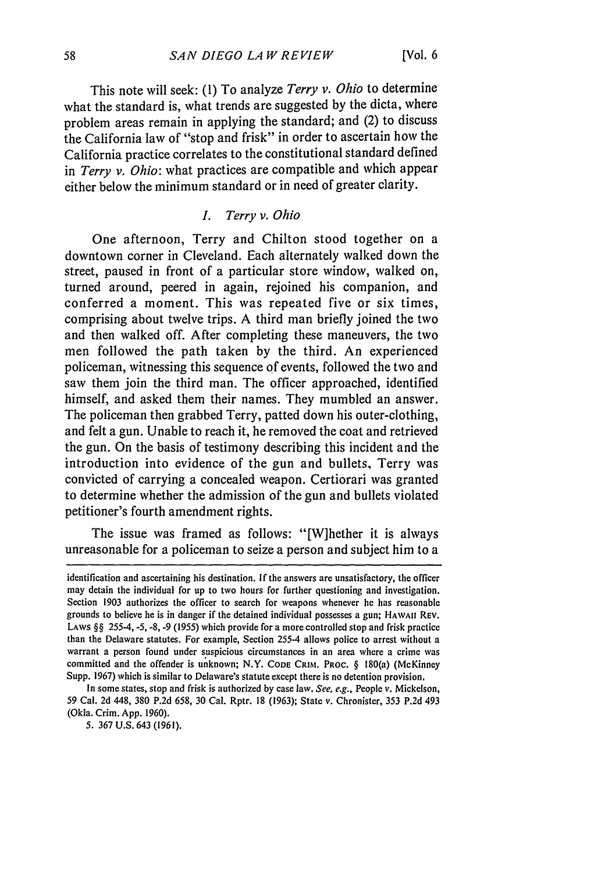This note will seek: (1) To analyze *Terry v. Ohio* to determine what the standard is, what trends are suggested by the dicta, where problem areas remain in applying the standard; and (2) to discuss the California law of "stop and frisk" in order to ascertain how the California practice correlates to the constitutional standard defined in *Terry v. Ohio:* what practices are compatible and which appear either below the minimum standard or in need of greater clarity.

### *I. Terry v. Ohio*

One afternoon, Terry and Chilton stood together on a downtown corner in Cleveland. Each alternately walked down the street, paused in front of a particular store window, walked on, turned around, peered in again, rejoined his companion, and conferred a moment. This was repeated five or six times, comprising about twelve trips. A third man briefly joined the two and then walked off. After completing these maneuvers, the two men followed the path taken by the third. An experienced policeman, witnessing this sequence of events, followed the two and saw them join the third man. The officer approached, identified himself, and asked them their names. They mumbled an answer. The policeman then grabbed Terry, patted down his outer-clothing, and felt a gun. Unable to reach it, he removed the coat and retrieved the gun. On the basis of testimony describing this incident and the introduction into evidence of the gun and bullets, Terry was convicted of carrying a concealed weapon. Certiorari was granted to determine whether the admission of the gun and bullets violated petitioner's fourth amendment rights.

The issue was framed as follows: "[W]hether it is always unreasonable for a policeman to seize a person and subject him to a

5. 367 U.S. 643 (1961).

identification and ascertaining his destination. If the answers are unsatisfactory, the officer may detain the individual for up to two hours for further questioning and investigation. Section 1903 authorizes the officer to search for weapons whenever he has reasonable grounds to believe he is in danger if the detained individual possesses a gun; **HAWAII** REV. LAWS §§ 255-4, -5, **-8,** -9 (1955) which provide for a more controlled stop and frisk practice than the Delaware statutes. For example, Section 255-4 allows police to arrest without a warrant a person found under suspicious circumstances in an area where a crime was committed and the offender is unknown; N.Y. **CODE** CRIM. PROC. § 180(a) (McKinney Supp. 1967) which is similar to Delaware's statute except there is no detention provision,

In some states, stop and frisk is authorized by case law. *See, e.g.,* People v. Mickelson, 59 Cal. 2d 448, 380 P.2d 658, 30 Cal. Rptr. 18 (1963); State v. Chronister, 353 P.2d 493 (Okla. Crim. App. 1960).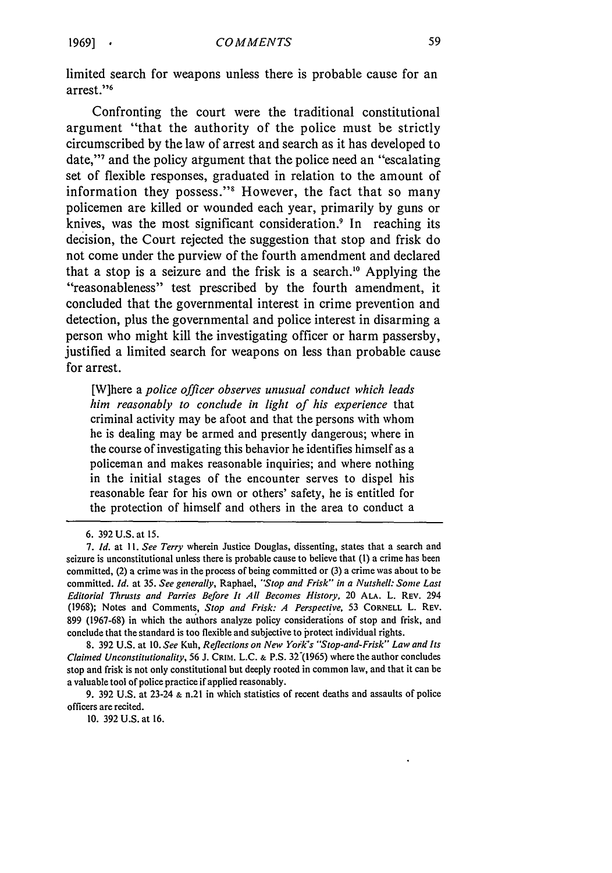limited search for weapons unless there is probable cause for an arrest."<sup>6</sup>

Confronting the court were the traditional constitutional argument "that the authority of the police must be strictly circumscribed **by** the law of arrest and search as it has developed to date," and the policy argument that the police need an "escalating" set of flexible responses, graduated in relation to the amount of information they possess."<sup>8</sup> However, the fact that so many policemen are killed or wounded each year, primarily **by** guns or knives, was the most significant consideration.<sup>9</sup> In reaching its decision, the Court rejected the suggestion that stop and frisk do not come under the purview of the fourth amendment and declared that a stop is a seizure and the frisk is a search.<sup>10</sup> Applying the "reasonableness" test prescribed **by** the fourth amendment, it concluded that the governmental interest in crime prevention and detection, plus the governmental and police interest in disarming a person who might kill the investigating officer or harm passersby, justified a limited search for weapons on less than probable cause for arrest.

[W]here a *police officer observes unusual conduct which leads him reasonably to conclude in light of his experience* that criminal activity may be afoot and that the persons with whom he is dealing may be armed and presently dangerous; where in the course of investigating this behavior he identifies himself as a policeman and makes reasonable inquiries; and where nothing in the initial stages of the encounter serves to dispel his reasonable fear for his own or others' safety, he is entitled for the protection of himself and others in the area to conduct a

8. 392 U.S. at 10. See Kuh, *Reflections on New York's "Stop-and-Frisk" Law and Its Claimed Unconstitutionality,* 56 J. **CRIN.** L.C. **&** P.S. 32"(1965) where the author concludes stop and frisk is not only constitutional but deeply rooted in common law, and that it can be a valuable tool of police practice if applied reasonably.

9. 392 U.S. at 23-24 **&** n.21 in which statistics of recent deaths and assaults of police officers are recited.

10. 392 U.S. at 16.

<sup>6. 392</sup> U.S. at 15.

*<sup>7.</sup> Id.* at **11.** *See Terry* wherein Justice Douglas, dissenting, states that a search and seizure is unconstitutional unless there is probable cause to believe that **(1)** a crime has been committed, (2) a crime was in the process of being committed or (3) a crime was about to be committed. *Id.* at **35.** *See generally,* Raphael, *"'Stop and Frisk" in a Nutshell: Some Last Editorial Thrusts and Parries Before It All Becomes History,* 20 **ALA.** L. REV. 294 (1968); Notes and Comments, *Stop and Frisk: A Perspective,* 53 **CORNELL** L. REV. 899 (1967-68) in which the authors analyze policy considerations of stop and frisk, and conclude that the standard is too flexible and subjective to protect individual rights.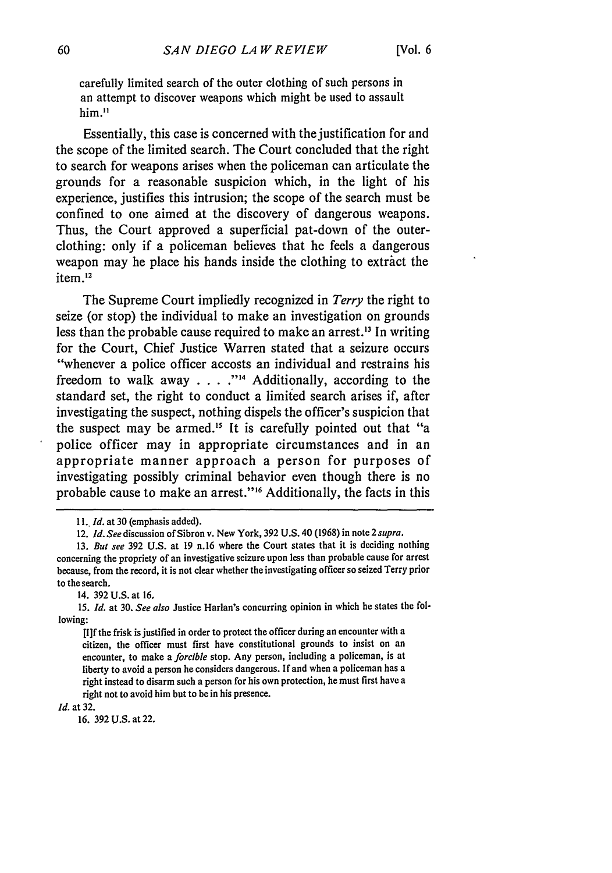carefully limited search of the outer clothing of such persons in an attempt to discover weapons which might be used to assault him."

Essentially, this case is concerned with the justification for and the scope of the limited search. The Court concluded that the right to search for weapons arises when the policeman can articulate the grounds for a reasonable suspicion which, in the light of his experience, justifies this intrusion; the scope of the search must be confined to one aimed at the discovery of dangerous weapons. Thus, the Court approved a superficial pat-down of the outerclothing: only if a policeman believes that he feels a dangerous weapon may he place his hands inside the clothing to extract the item.<sup>12</sup>

The Supreme Court impliedly recognized in *Terry* the right to seize (or stop) the individual to make an investigation on grounds less than the probable cause required to make an arrest.<sup>13</sup> In writing for the Court, Chief Justice Warren stated that a seizure occurs "whenever a police officer accosts an individual and restrains his freedom to walk away **... .""1** Additionally, according to the standard set, the right to conduct a limited search arises if, after investigating the suspect, nothing dispels the officer's suspicion that the suspect may be armed.<sup>15</sup> It is carefully pointed out that "a police officer may in appropriate circumstances and in an appropriate manner approach a person for purposes of investigating possibly criminal behavior even though there is no probable cause to make an arrest."<sup>16</sup> Additionally, the facts in this

14. 392 U.S. at **16.**

*Id.* at 32.

16. 392 **U.S.** at 22.

*<sup>11.</sup> Id.* at 30 (emphasis added).

<sup>12.</sup> *Id. See* discussion of Sibron v. New York, 392 U.S. 40 (1968) in note 2 supra.

<sup>13.</sup> *But see* 392 U.S. at 19 n.16 where the Court states that it is deciding nothing concerning the propriety of an investigative seizure upon less than probable cause for arrest because, from the record, it is not clear whether the investigating officer so seized Terry prior to the search.

<sup>15.</sup> *Id.* at 30. *See also* Justice Harlan's concurring opinion in which he states the following:

<sup>[</sup>I]f the frisk is justified in order to protect the officer during an encounter with a citizen, the officer must first have constitutional grounds to insist on an encounter, to make a *forcible* stop. Any person, including a policeman, is at liberty to avoid a person he considers dangerous. If and when a policeman has a right instead to disarm such a person for his own protection, he must first have a right not to avoid him but to be in his presence.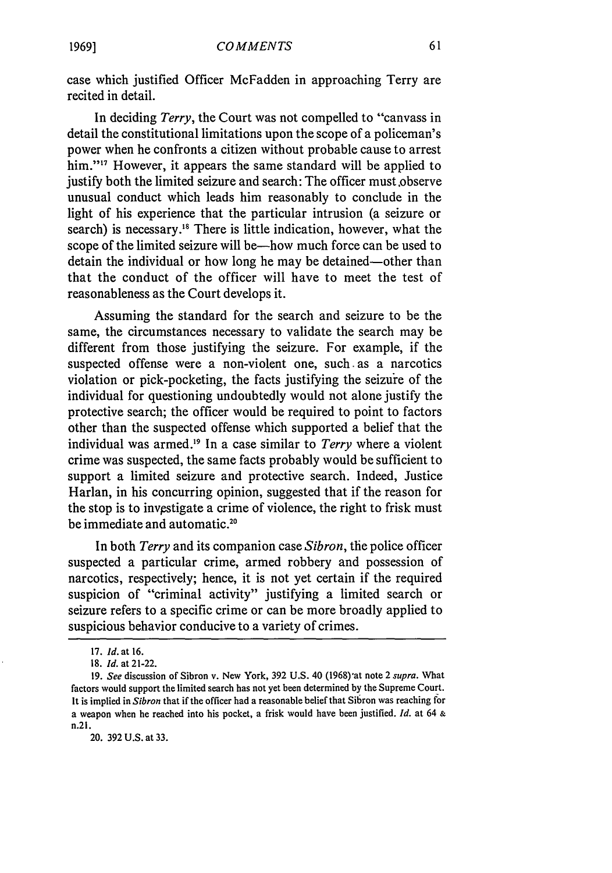case which justified Officer McFadden in approaching Terry are recited in detail.

In deciding *Terry,* the Court was not compelled to "canvass in detail the constitutional limitations upon the scope of a policeman's power when he confronts a citizen without probable cause to arrest him."<sup>17</sup> However, it appears the same standard will be applied to justify both the limited seizure and search: The officer must observe unusual conduct which leads him reasonably to conclude in the light of his experience that the particular intrusion (a seizure or search) is necessary.<sup>18</sup> There is little indication, however, what the scope of the limited seizure will be—how much force can be used to detain the individual or how long he may be detained—other than that the conduct of the officer will have to meet the test of reasonableness as the Court develops it.

Assuming the standard for the search and seizure to be the same, the circumstances necessary to validate the search may be different from those justifying the seizure. For example, if the suspected offense were a non-violent one, such. as a narcotics violation or pick-pocketing, the facts justifying the seizure of the individual for questioning undoubtedly would not alone justify the protective search; the officer would be required to point to factors other than the suspected offense which supported a belief that the individual was armed.19 In a case similar to *Terry* where a violent crime was suspected, the same facts probably would be sufficient to support a limited seizure and protective search. Indeed, Justice Harlan, in his concurring opinion, suggested that if the reason for the stop is to investigate a crime of violence, the right to frisk must be immediate and automatic.<sup>20</sup>

In both *Terry* and its companion case *Sibron,* the police officer suspected a particular crime, armed robbery and possession of narcotics, respectively; hence, it is not yet certain if the required suspicion of "criminal activity" justifying a limited search or seizure refers to a specific crime or can be more broadly applied to suspicious behavior conducive to a variety of crimes.

20. 392 U.S. at 33.

<sup>17.</sup> *Id.* at **16.**

<sup>18.</sup> *Id.* at 21-22.

<sup>19.</sup> *See* discussion of Sibron v. New York, 392 U.S. 40 (1968)'at note 2 *supra.* What factors would support the limited search has not yet been determined by the Supreme Court. It is implied in *Sibron* that if the officer had a reasonable belief that Sibron was reaching for a weapon when he reached into his pocket, a frisk would have been justified. *Id.* at 64 & n.21.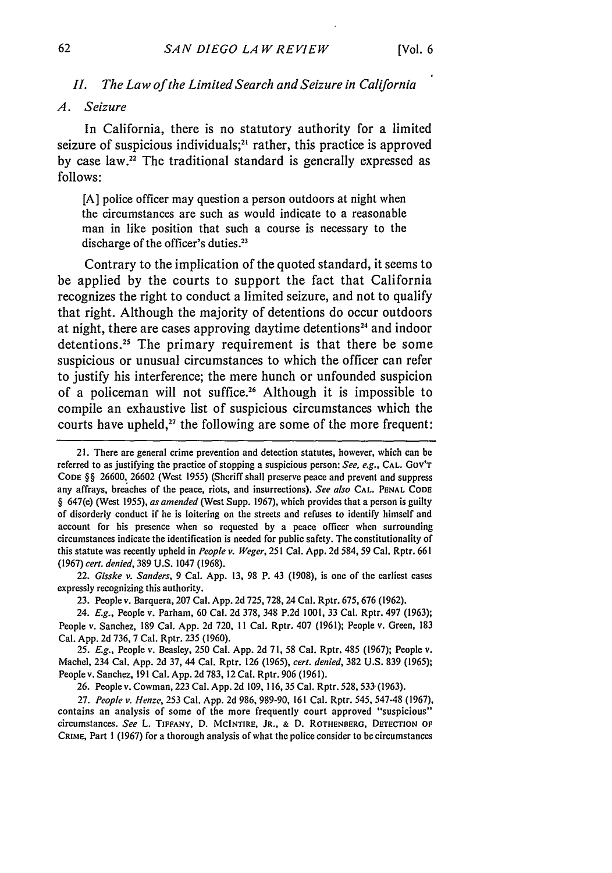#### *II. The Law of the Limited Search and Seizure in California*

#### *A. Seizure*

In California, there is no statutory authority for a limited seizure of suspicious individuals; $2<sup>i</sup>$  rather, this practice is approved by case law.<sup>22</sup> The traditional standard is generally expressed as follows:

[A] police officer may question a person outdoors at night when the circumstances are such as would indicate to a reasonable man in like position that such a course is necessary to the discharge of the officer's duties.<sup>23</sup>

Contrary to the implication of the quoted standard, it seems to be applied by the courts to support the fact that California recognizes the right to conduct a limited seizure, and not to qualify that right. Although the majority of detentions do occur outdoors at night, there are cases approving daytime detentions<sup>24</sup> and indoor detentions.<sup>25</sup> The primary requirement is that there be some suspicious or unusual circumstances to which the officer can refer to justify his interference; the mere hunch or unfounded suspicion of a policeman will not suffice.<sup>26</sup> Although it is impossible to compile an exhaustive list of suspicious circumstances which the courts have upheld, $27$  the following are some of the more frequent:

22. *Gisske v. Sanders,* 9 Cal. App. 13, 98 P. 43 (1908), is one of the earliest cases expressly recognizing this authority.

23. People v. Barquera, 207 Cal. App. 2d 725, 728, 24 Cal. Rptr. 675, 676 (1962).

24. *E.g.,* People v. Parham, 60 Cal. 2d 378, 348 P.2d 1001, 33 Cal. Rptr. 497 (1963); People v. Sanchez, 189 Cal. App. 2d 720, **I1** Cal. Rptr. 407 (1961); People v. Green, **183** Cal. App. 2d 736, 7 Cal. Rptr. 235 (1960).

*25. E.g.,* People v. Beasley, 250 Cal. App. 2d 71, 58 Cal. Rptr. 485 (1967); People v. Machel, 234 Cal. App. 2d 37, 44 Cal. Rptr. 126 (1965), *cert. denied,* 382 U.S. 839 (1965); People v. Sanchez, 191 Cal. App. 2d 783, 12 Cal. Rptr. 906 (1961).

26. Peoplev. Cowman, 223 Cal. App. 2d 109, 116, 35 Cal. Rptr. 528, 533-(1963).

27. *People v. Henze,* 253 Cal. App. 2d 986, 989-90, 161 Cal. Rptr. 545, 547-48 (1967), contains an analysis of some of the more frequently court approved "suspicious" circumstances. *See* L. **TIFFANY, D. MCINTIRE, JR., & D. ROTHENBERG, DETECTION OF CRIME,** Part 1 **(1967)** for **a** thorough analysis of what the police consider to **be** circumstances

<sup>21.</sup> There are general crime prevention and detection statutes, however, which can be referred to as justifying the practice of stopping a suspicious person: *See, e.g.,* **CAL.** GOV'T **CODE** §§ 26600, 26602 (West 1955) (Sheriff shall preserve peace and prevent and suppress any affrays, breaches of the peace, riots, and insurrections). *See also* **CAL. PENAL CODE** § 647(e) (West 1955), *as amended* (West Supp. 1967), which provides that a person is guilty of disorderly conduct if he is loitering on the streets and refuses to identify himself and account for his presence when so requested by a peace officer when surrounding circumstances indicate the identification is needed for public safety. The constitutionality of this statute was recently upheld in *People v. Weger,* 251 Cal. App. 2d 584, 59 Cal. Rptr. 661 (1967) *cert. denied,* 389 U.S. 1047 (1968).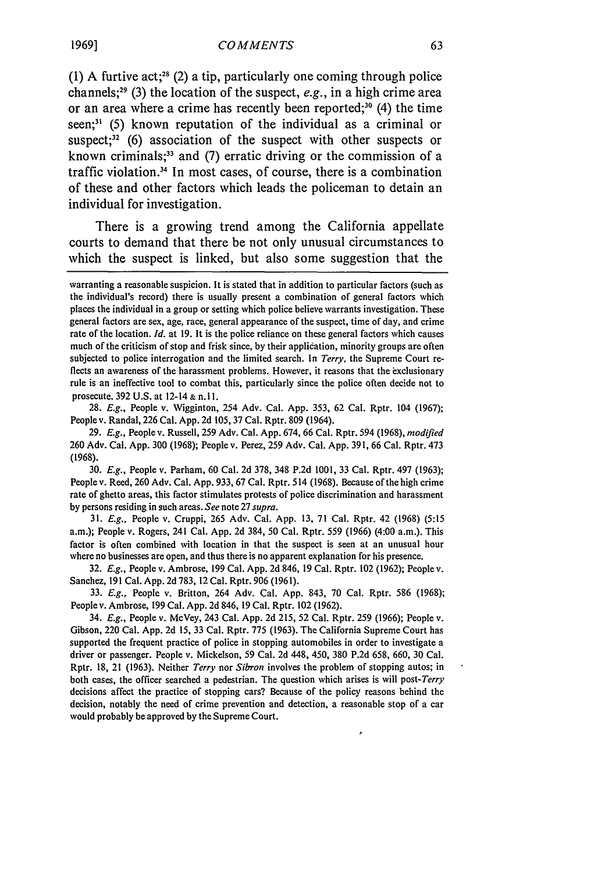(1) A furtive act;<sup>28</sup> (2) a tip, particularly one coming through police channels;<sup>29</sup> (3) the location of the suspect,  $e.g.,$  in a high crime area or an area where a crime has recently been reported;<sup>30</sup> (4) the time seen;<sup>31</sup> (5) known reputation of the individual as a criminal or suspect;<sup>32</sup> (6) association of the suspect with other suspects or known criminals;<sup>33</sup> and (7) erratic driving or the commission of a traffic violation.<sup>34</sup> In most cases, of course, there is a combination of these and other factors which leads the policeman to detain an individual for investigation.

There is a growing trend among the California appellate courts to demand that there be not only unusual circumstances to which the suspect is linked, but also some suggestion that the

28. *E.g.,* People v. Wigginton, 254 Adv. Cal. App. 353, 62 Cal. Rptr. 104 (1967); People v. Randal, 226 Cal. App. 2d 105, 37 Cal. Rptr. 809 (1964).

29. *E.g.,* People v. Russell, 259 Adv. Cal. App. 674, 66 Cal. Rptr. 594 (1968), *modified* 260 Adv. Cal. App. 300 (1968); People v. Perez, 259 Adv. Cal. App. 391, 66 Cal. Rptr. 473 **(1968).**

*30. E.g.,* People v. Parham, 60 Cal. 2d 378, 348 P.2d 1001, 33 Cal. Rptr. 497 (1963); People v. Reed, 260 Adv. Cal. App. 933, 67 Cal. Rptr. 514 (1968). Because of the high crime rate of ghetto areas, this factor stimulates protests of police discrimination and harassment by persons residing in such areas. *See* note 27 *supra.*

31. *E.g.,* People v. Cruppi, 265 Adv. Cal. App. 13, 71 Cal. Rptr. 42 (1968) (5:15 a.m.); People v. Rogers, 241 Cal. App. 2d 384, 50 Cal. Rptr. 559 (1966) (4:00 a.m.). This factor is often combined with location in that the suspect is seen at an unusual hour where no businesses are open, and thus there is no apparent explanation for his presence.

32. *E.g.,* People v. Ambrose, 199 Cal. App. 2d 846, 19 Cal. Rptr. 102 (1962); People v. Sanchez, 191 Cal. App. 2d 783, 12 Cal. Rptr. 906 (1961).

*33. E.g.,* People v. Britton, 264 Adv. Cal. App. 843, 70 Cal. Rptr. 586 (1968); People v. Ambrose, 199 Cal. App. 2d 846, 19 Cal. Rptr. 102 (1962).

34. *E.g.,* People v. McVey, 243 Cal. App. 2d 215, 52 Cal. Rptr. 259 (1966); People v. Gibson, 220 Cal. App. 2d 15, 33 Cal. Rptr. 775 (1963). The California Supreme Court has supported the frequent practice of police in stopping automobiles in order to investigate a driver or passenger. People v. Mickelson, 59 Cal. 2d 448, 450, 380 P.2d 658, 660, 30 Cal. Rptr. 18, 21 (1963). Neither *Terry* nor *Sibron* involves the problem of stopping autos; in both cases, the officer searched a pedestrian. The question which arises is will *post-Terry* decisions affect the practice of stopping cars? Because of the policy reasons behind the decision, notably the need of crime prevention and detection, a reasonable stop of a car would probably be approved by the Supreme Court.

warranting a reasonable suspicion. It is stated that in addition to particular factors (such as the individual's record) there is usually present a combination of general factors which places the individual in a group or setting which police believe warrants investigation. These general factors are sex, age, race, general appearance of the suspect, time of day, and crime rate of the location. *Id.* at 19. It is the police reliance on these general factors which causes much of the criticism of stop and frisk since, by their application, minority groups are often subjected to police interrogation and the limited search. In *Terry,* the Supreme Court reflects an awareness of the harassment problems. However, it reasons that the exclusionary rule is an ineffective tool to combat this, particularly since the police often decide not to prosecute. 392 U.S. at 12-14 & n.ll.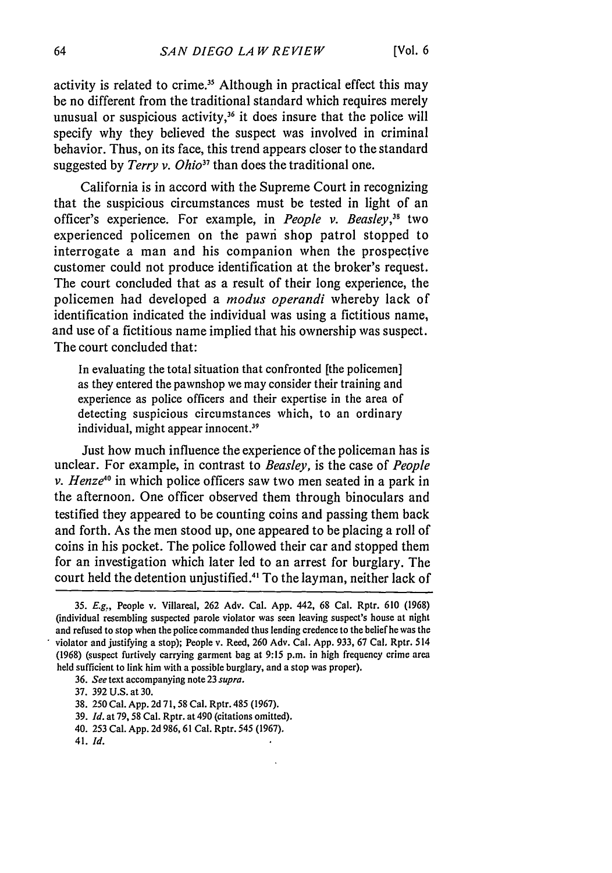activity is related to crime.<sup>35</sup> Although in practical effect this may be no different from the traditional standard which requires merely unusual or suspicious activity,<sup>36</sup> it does insure that the police will specify why they believed the suspect was involved in criminal behavior. Thus, on its face, this trend appears closer to the standard suggested by *Terry v. Ohio37* than does the traditional one.

California is in accord with the Supreme Court in recognizing that the suspicious circumstances must be tested in light of an officer's experience. For example, in *People v. Beasley,"5* two experienced policemen on the pawi shop patrol stopped to interrogate a man and his companion when the prospective customer could not produce identification at the broker's request. The court concluded that as a result of their long experience, the policemen had developed a *modus operandi* whereby lack of identification indicated the individual was using a fictitious name, and use of a fictitious name implied that his ownership was suspect. The court concluded that:

In evaluating the total situation that confronted [the policemen] as they entered the pawnshop we may consider their training and experience as police officers and their expertise in the area of detecting suspicious circumstances which, to an ordinary individual, might appear innocent.<sup>39</sup>

Just how much influence the experience of the policeman has is unclear. For example, in contrast to *Beasley,* is the case of *People v. Henze40* in which police officers saw two men seated in a park in the afternoon. One officer observed them through binoculars and testified they appeared to be counting coins and passing them back and forth. As the men stood up, one appeared to be placing a roll of coins in his pocket. The police followed their car and stopped them for an investigation which later led to an arrest for burglary. The court held the detention unjustified.<sup>41</sup> To the layman, neither lack of

41. *Id.*

**<sup>35.</sup>** *E.g.,* People v. Villareal, **262** Adv. Cal. **App.** 442, 68 Cal. Rptr. **610** (1968) (individual resembling suspected parole violator was seen leaving suspect's house at night and refused to stop when the police commanded thus lending credence to the belief he was the violator and justifying a stop); People v. Reed, 260 Adv. Cal. App. 933, 67 Cal, Rptr. 514 (1968) (suspect furtively carrying garment bag at 9:15 p.m. in high frequency crime area held sufficient to link him with a possible burglary, and a stop was proper).

<sup>36.</sup> *See* text accompanying note 23 *supra.*

<sup>37. 392</sup> U.S. at 30.

<sup>38. 250</sup> Cal. App. 2d 71, 58 Cal. Rptr. 485 (1967).

<sup>39.</sup> *Id.* at 79, 58 Cal. Rptr. at 490 (citations omitted).

<sup>40. 253</sup> Cal. App. 2d 986, 61 Cal. Rptr. 545 (1967).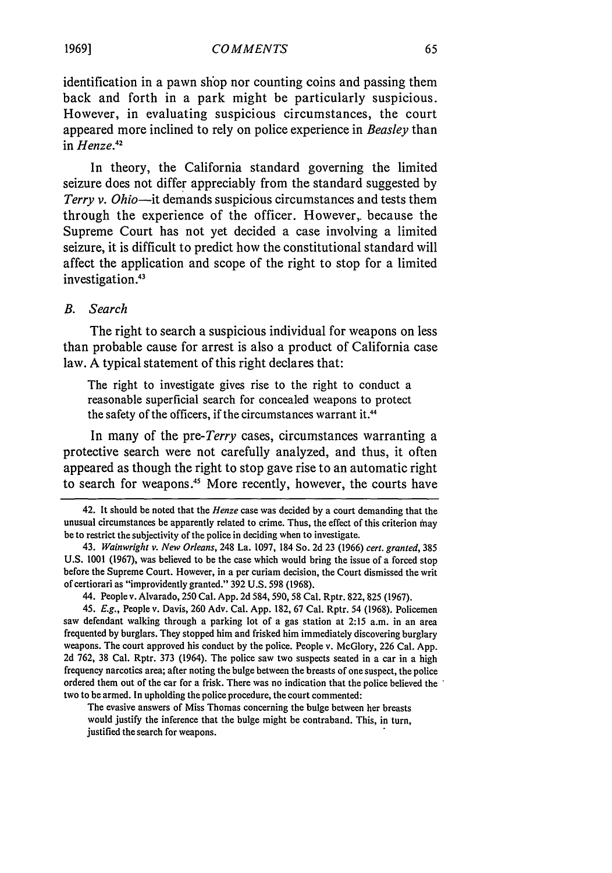identification in a pawn shop nor counting coins and passing them back and forth in a park might be particularly suspicious. However, in evaluating suspicious circumstances, the court appeared more inclined to rely on police experience in *Beasley* than in *Henze.12*

In theory, the California standard governing the limited seizure does not differ appreciably from the standard suggested by *Terry v. Ohio-it* demands suspicious circumstances and tests them through the experience of the officer. However, because the Supreme Court has not yet decided a case involving a limited seizure, it is difficult to predict how the constitutional standard will affect the application and scope of the right to stop for a limited investigation.<sup>43</sup>

#### *B. Search*

The right to search a suspicious individual for weapons on less than probable cause for arrest is also a product of California case law. A typical statement of this right declares that:

The right to investigate gives rise to the right to conduct a reasonable superficial search for concealed weapons to protect the safety of the officers, if the circumstances warrant it. <sup>44</sup>

In many of the *pre-Terry* cases, circumstances warranting a protective search were not carefully analyzed, and thus, it often appeared as though the right to stop gave rise to an automatic right to search for weapons.<sup>45</sup> More recently, however, the courts have

The evasive answers of Miss Thomas concerning the bulge between her breasts would justify the inference that the bulge might be contraband. This, in turn, justified the search for weapons.

<sup>42.</sup> It should be noted that the *Henze* case was decided by a court demanding that the unusual circumstances be apparently related to crime. Thus, the effect of this criterion may be to restrict the subjectivity of the police in deciding when to investigate.

<sup>43.</sup> *Wainwright v. New* Orleans, 248 La. 1097, 184 So. 2d 23 (1966) *cert. granted,* 385 U.S. 1001 (1967), was believed to be the case which would bring the issue of a forced stop before the Supreme Court. However, in a per curiam decision, the Court dismissed the writ of certiorari as "improvidently granted." 392 U.S. 598 (1968).

<sup>44.</sup> People v. Alvarado, 250 Cal. App. 2d 584, 590, 58 Cal. Rptr. 822, 825 (1967).

<sup>45.</sup> *E.g.,* People v. Davis, 260 Adv. Cal. App. 182, 67 Cal. Rptr. 54 (1968). Policemen saw defendant walking through a parking lot of a gas station at 2:15 a.m. in an area frequented by burglars. They stopped him and frisked him immediately discovering burglary weapons. The court approved his conduct by the police. People v. McGlory, 226 Cal. App. 2d 762, 38 Cal. Rptr. 373 (1964). The police saw two suspects seated in a car in a high frequency narcotics area; after noting the bulge between the breasts of one suspect, the police ordered them out of the car for a frisk. There was no indication that the police believed the two to be armed. In upholding the police procedure, the court commented: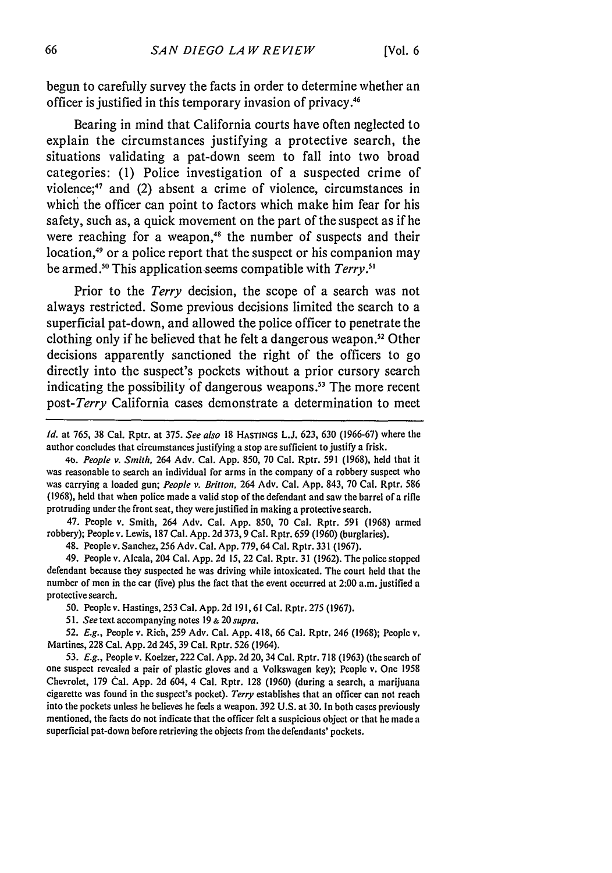begun to carefully survey the facts in order to determine whether an officer is justified in this temporary invasion of privacy.46

Bearing in mind that California courts have often neglected to explain the circumstances justifying a protective search, the situations validating a pat-down seem to fall into two broad categories: **(1)** Police investigation of a suspected crime of violence;47 and (2) absent a crime of violence, circumstances in which the officer can point to factors which make him fear for his safety, such as, a quick movement on the part of the suspect as if he were reaching for a weapon,<sup>48</sup> the number of suspects and their location,<sup>49</sup> or a police report that the suspect or his companion may be armed.<sup>50</sup> This application seems compatible with *Terry*.<sup>51</sup>

Prior to the *Terry* decision, the scope of a search was not always restricted. Some previous decisions limited the search to a superficial pat-down, and allowed the police officer to penetrate the clothing only if he believed that he felt a dangerous weapon.<sup>52</sup> Other decisions apparently sanctioned the right of the officers to go directly into the suspect's pockets without a prior cursory search indicating the possibility of dangerous weapons.<sup>53</sup> The more recent *post-Terry* California cases demonstrate a determination to meet

*Id.* at 765, 38 Cal. Rptr. at 375. *See also* **18** HASTINGS **L.J.** 623, 630 (1966-67) where the author concludes that circumstances justifying a stop are sufficient to justify a frisk.

*4t,. People v. Smith,* 264 Adv. Cal. App. **850,** 70 Cal. Rptr. 591 (1968), held that it was reasonable to search an individual for arms in the company of a robbery suspect who was carrying a loaded gun; *People v. Britton,* 264 Adv. Cal. App. 843, 70 Cal. Rptr. 586 (1968), held that when police made a valid stop of the defendant and saw the barrel of a rifle protruding under the front seat, they were justified in making a protective search.

47. People v. Smith, 264 Adv. Cal. App. 850, 70 Cal. Rptr. 591 (1968) armed robbery); People v. Lewis, **187** Cal. App. 2d 373, 9 Cal. Rptr. 659 (1960) (burglaries).

48. People v. Sanchez, 256 Adv. Cal. App. 779, 64 Cal. Rptr. 331 (1967).

49. People v. Alcala, 204 Cal. App. 2d 15, 22 Cal. Rptr. 31 (1962). The police stopped defendant because they suspected he was driving while intoxicated. The court held that the number of men in the car (five) plus the fact that the event occurred at 2:00 a.m. justified a protective search.

50. People v. Hastings, 253 Cal. App. 2d 191, 61 Cal. Rptr. 275 (1967).

*51. See* text accompanying notes 19 **&** 20 *supra.*

52. *E.g.,* People v. Rich, 259 Adv. Cal. App. 418, 66 Cal. Rptr. 246 (1968); People v. Martines, 228 Cal. App. 2d 245, 39 Cal. Rptr. 526 (1964).

53. *E.g.,* People v. Koelzer, 222 Cal. App. 2d 20, 34 Cal. Rptr. 718 (1963) (the search of one suspect revealed a pair of plastic gloves and a Volkswagen key); People v. One 1958 Chevrolet, 179 Cal. App. 2d 604, 4 Cal. Rptr. 128 (1960) (during a search, a marijuana cigarette was found in the suspect's pocket). *Terry* establishes that an officer can not reach into the pockets unless he believes he feels a weapon. 392 U.S. at 30. In both cases previously mentioned, the facts do not indicate that the officer felt a suspicious object or that he made a superficial pat-down before retrieving the objects from the defendants' pockets.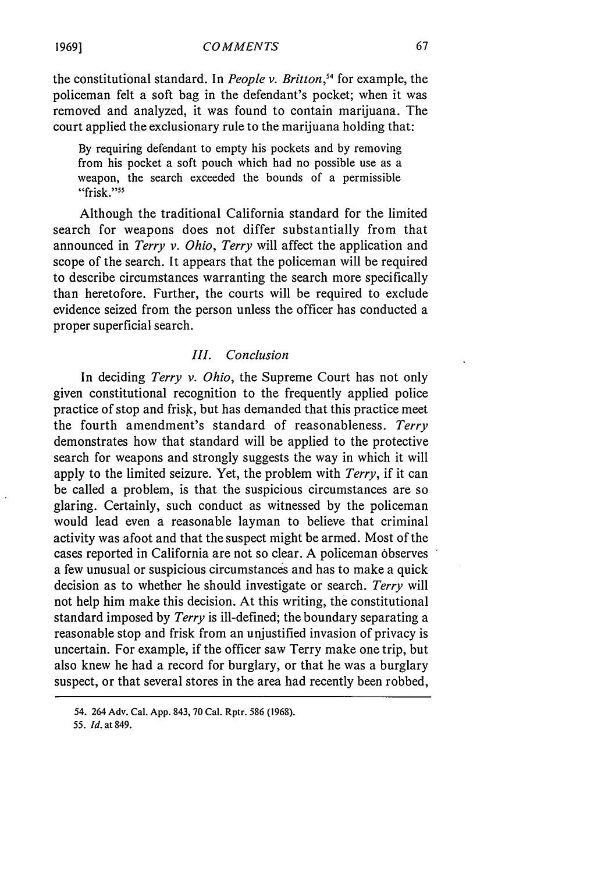the constitutional standard. In *People v. Britton,54* for example, the policeman felt a soft bag in the defendant's pocket; when it was removed and analyzed, it was found to contain marijuana. The court applied the exclusionary rule to the marijuana holding that:

By requiring defendant to empty his pockets and by removing from his pocket a soft pouch which had no possible use as a weapon, the search exceeded the bounds of a permissible "frisk."<sup>55</sup>

Although the traditional California standard for the limited search for weapons does not differ substantially from that announced in *Terry v. Ohio, Terry* will affect the application and scope of the search. It appears that the policeman will be required to describe circumstances warranting the search more specifically than heretofore. Further, the courts will be required to exclude evidence seized from the person unless the officer has conducted a proper superficial search.

#### *III. Conclusion*

In deciding *Terry v. Ohio,* the Supreme Court has not only given constitutional recognition to the frequently applied police practice of stop and frisk, but has demanded that this practice meet the fourth amendment's standard of reasonableness. *Terry* demonstrates how that standard will be applied to the protective search for weapons and strongly suggests the way in which it will apply to the limited seizure. Yet, the problem with *Terry,* if it can be called a problem, is that the suspicious circumstances are so glaring. Certainly, such conduct as witnessed by the policeman would lead even a reasonable layman to believe that criminal activity was afoot and that the suspect might be armed. Most of the cases reported in California are not so clear. A policeman observes a few unusual or suspicious circumstances and has to make a quick decision as to whether he should investigate or search. *Terry* will not help him make this decision. At this writing, the constitutional standard imposed by *Terry* is ill-defined; the boundary separating a reasonable stop and frisk from an unjustified invasion of privacy is uncertain. For example, if the officer saw Terry make one trip, but also knew he had a record for burglary, or that he was a burglary suspect, or that several stores in the area had recently been robbed,

<sup>54. 264</sup> Adv. Cal. **App.** 843, **70** Cal. Rptr. **586 (1968).**

*<sup>55.</sup> Id.* at 849.